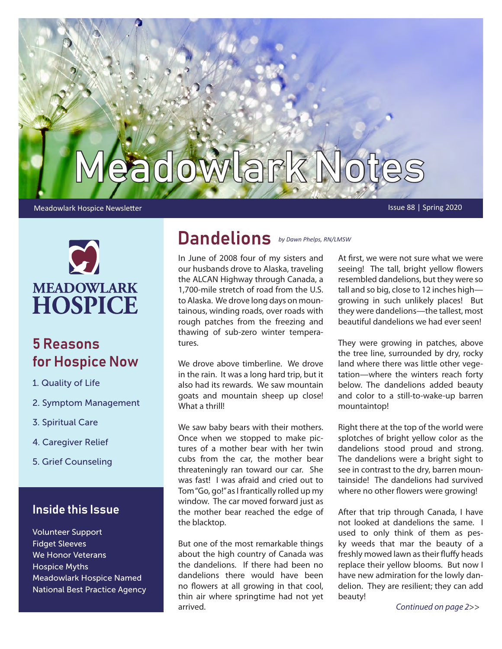# dowlark Note

#### Meadowlark Hospice Newsletter **Issue 88** | Spring 2020



### 5 Reasons for Hospice Now

- 1. Quality of Life
- 2. Symptom Management
- 3. Spiritual Care
- 4. Caregiver Relief
- 5. Grief Counseling

### Inside this Issue

Volunteer Support Fidget Sleeves We Honor Veterans Hospice Myths Meadowlark Hospice Named National Best Practice Agency

### Dandelions *by Dawn Phelps, RN/LMSW*

In June of 2008 four of my sisters and our husbands drove to Alaska, traveling the ALCAN Highway through Canada, a 1,700-mile stretch of road from the U.S. to Alaska. We drove long days on mountainous, winding roads, over roads with rough patches from the freezing and thawing of sub-zero winter temperatures.

We drove above timberline. We drove in the rain. It was a long hard trip, but it also had its rewards. We saw mountain goats and mountain sheep up close! What a thrill!

We saw baby bears with their mothers. Once when we stopped to make pictures of a mother bear with her twin cubs from the car, the mother bear threateningly ran toward our car. She was fast! I was afraid and cried out to Tom "Go, go!" as I frantically rolled up my window. The car moved forward just as the mother bear reached the edge of the blacktop.

But one of the most remarkable things about the high country of Canada was the dandelions. If there had been no dandelions there would have been no flowers at all growing in that cool, thin air where springtime had not yet arrived.

At first, we were not sure what we were seeing! The tall, bright yellow flowers resembled dandelions, but they were so tall and so big, close to 12 inches high growing in such unlikely places! But they were dandelions—the tallest, most beautiful dandelions we had ever seen!

They were growing in patches, above the tree line, surrounded by dry, rocky land where there was little other vegetation—where the winters reach forty below. The dandelions added beauty and color to a still-to-wake-up barren mountaintop!

Right there at the top of the world were splotches of bright yellow color as the dandelions stood proud and strong. The dandelions were a bright sight to see in contrast to the dry, barren mountainside! The dandelions had survived where no other flowers were growing!

After that trip through Canada, I have not looked at dandelions the same. I used to only think of them as pesky weeds that mar the beauty of a freshly mowed lawn as their fluffy heads replace their yellow blooms. But now I have new admiration for the lowly dandelion. They are resilient; they can add beauty!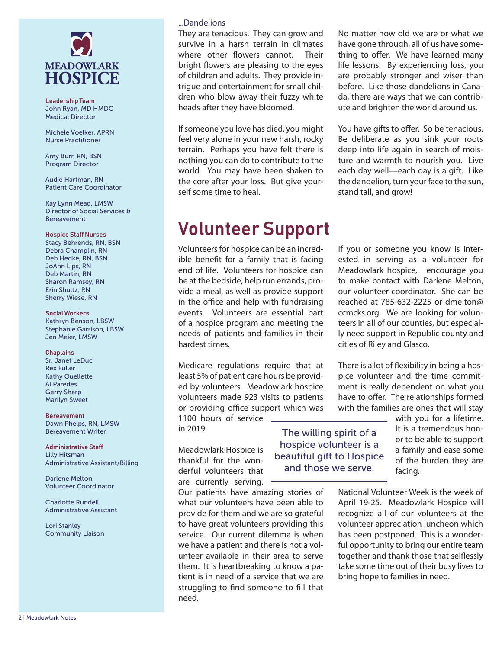

Leadership Team John Ryan, MD HMDC Medical Director

Michele Voelker, APRN Nurse Practitioner

Amy Burr, RN, BSN Program Director

Audie Hartman, RN Patient Care Coordinator

Kay Lynn Mead, LMSW Director of Social Services & Bereavement

#### Hospice Staff Nurses

Stacy Behrends, RN, BSN Debra Champlin, RN Deb Hedke, RN, BSN JoAnn Lips, RN Deb Martin, RN Sharon Ramsey, RN Erin Shultz, RN Sherry Wiese, RN

#### Social Workers

Kathryn Benson, LBSW Stephanie Garrison, LBSW Jen Meier, LMSW

#### **Chaplains**

Sr. Janet LeDuc Rex Fuller Kathy Ouellette Al Paredes Gerry Sharp Marilyn Sweet

Bereavement Dawn Phelps, RN, LMSW Bereavement Writer

Administrative Staff Lilly Hitsman Administrative Assistant/Billing

Darlene Melton Volunteer Coordinator

Charlotte Rundell Administrative Assistant

Lori Stanley Community Liaison

#### ...Dandelions

They are tenacious. They can grow and survive in a harsh terrain in climates where other flowers cannot. Their bright flowers are pleasing to the eyes of children and adults. They provide intrigue and entertainment for small children who blow away their fuzzy white heads after they have bloomed.

If someone you love has died, you might feel very alone in your new harsh, rocky terrain. Perhaps you have felt there is nothing you can do to contribute to the world. You may have been shaken to the core after your loss. But give yourself some time to heal.

#### No matter how old we are or what we have gone through, all of us have something to offer. We have learned many life lessons. By experiencing loss, you are probably stronger and wiser than before. Like those dandelions in Canada, there are ways that we can contribute and brighten the world around us.

You have gifts to offer. So be tenacious. Be deliberate as you sink your roots deep into life again in search of moisture and warmth to nourish you. Live each day well—each day is a gift. Like the dandelion, turn your face to the sun, stand tall, and grow!

### Volunteer Support

Volunteers for hospice can be an incredible benefit for a family that is facing end of life. Volunteers for hospice can be at the bedside, help run errands, provide a meal, as well as provide support in the office and help with fundraising events. Volunteers are essential part of a hospice program and meeting the needs of patients and families in their hardest times.

Medicare regulations require that at least 5% of patient care hours be provided by volunteers. Meadowlark hospice volunteers made 923 visits to patients or providing office support which was 1100 hours of service

in 2019.

Meadowlark Hospice is thankful for the wonderful volunteers that are currently serving.

The willing spirit of a hospice volunteer is a beautiful gift to Hospice and those we serve.

If you or someone you know is interested in serving as a volunteer for Meadowlark hospice, I encourage you to make contact with Darlene Melton, our volunteer coordinator. She can be reached at 785-632-2225 or dmelton@ ccmcks.org. We are looking for volunteers in all of our counties, but especially need support in Republic county and cities of Riley and Glasco.

There is a lot of flexibility in being a hospice volunteer and the time commitment is really dependent on what you have to offer. The relationships formed with the families are ones that will stay

> with you for a lifetime. It is a tremendous honor to be able to support a family and ease some of the burden they are facing.

Our patients have amazing stories of what our volunteers have been able to provide for them and we are so grateful to have great volunteers providing this service. Our current dilemma is when we have a patient and there is not a volunteer available in their area to serve them. It is heartbreaking to know a patient is in need of a service that we are struggling to find someone to fill that need.

National Volunteer Week is the week of April 19-25. Meadowlark Hospice will recognize all of our volunteers at the volunteer appreciation luncheon which has been postponed. This is a wonderful opportunity to bring our entire team together and thank those that selflessly take some time out of their busy lives to bring hope to families in need.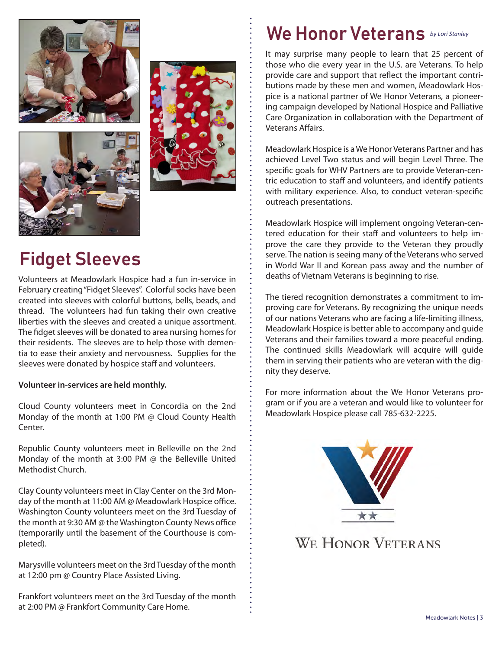



# Fidget Sleeves

Volunteers at Meadowlark Hospice had a fun in-service in February creating "Fidget Sleeves". Colorful socks have been created into sleeves with colorful buttons, bells, beads, and thread. The volunteers had fun taking their own creative liberties with the sleeves and created a unique assortment. The fidget sleeves will be donated to area nursing homes for their residents. The sleeves are to help those with dementia to ease their anxiety and nervousness. Supplies for the sleeves were donated by hospice staff and volunteers.

#### **Volunteer in-services are held monthly.**

Cloud County volunteers meet in Concordia on the 2nd Monday of the month at 1:00 PM @ Cloud County Health Center.

Republic County volunteers meet in Belleville on the 2nd Monday of the month at 3:00 PM @ the Belleville United Methodist Church.

Clay County volunteers meet in Clay Center on the 3rd Monday of the month at 11:00 AM @ Meadowlark Hospice office. Washington County volunteers meet on the 3rd Tuesday of the month at 9:30 AM @ the Washington County News office (temporarily until the basement of the Courthouse is completed).

Marysville volunteers meet on the 3rd Tuesday of the month at 12:00 pm @ Country Place Assisted Living.

Frankfort volunteers meet on the 3rd Tuesday of the month at 2:00 PM @ Frankfort Community Care Home.

### We Honor Veterans *by Lori Stanley*

It may surprise many people to learn that 25 percent of those who die every year in the U.S. are Veterans. To help provide care and support that reflect the important contributions made by these men and women, Meadowlark Hospice is a national partner of We Honor Veterans, a pioneering campaign developed by National Hospice and Palliative Care Organization in collaboration with the Department of Veterans Affairs.

Meadowlark Hospice is a We Honor Veterans Partner and has achieved Level Two status and will begin Level Three. The specific goals for WHV Partners are to provide Veteran-centric education to staff and volunteers, and identify patients with military experience. Also, to conduct veteran-specific outreach presentations.

Meadowlark Hospice will implement ongoing Veteran-centered education for their staff and volunteers to help improve the care they provide to the Veteran they proudly serve. The nation is seeing many of the Veterans who served in World War II and Korean pass away and the number of deaths of Vietnam Veterans is beginning to rise.

The tiered recognition demonstrates a commitment to improving care for Veterans. By recognizing the unique needs of our nations Veterans who are facing a life-limiting illness, Meadowlark Hospice is better able to accompany and guide Veterans and their families toward a more peaceful ending. The continued skills Meadowlark will acquire will guide them in serving their patients who are veteran with the dignity they deserve.

For more information about the We Honor Veterans program or if you are a veteran and would like to volunteer for Meadowlark Hospice please call 785-632-2225.



WE HONOR VETERANS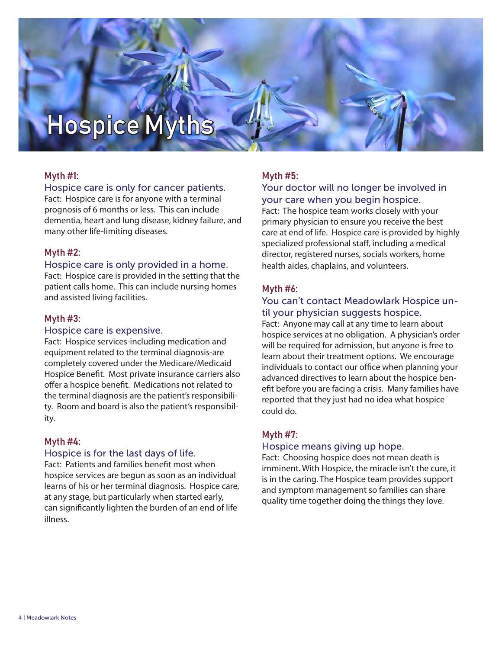# Hospice Myths

#### Myth #1:

#### Hospice care is only for cancer patients.

Fact: Hospice care is for anyone with a terminal prognosis of 6 months or less. This can include dementia, heart and lung disease, kidney failure, and many other life-limiting diseases.

#### Myth #2:

#### Hospice care is only provided in a home.

Fact: Hospice care is provided in the setting that the patient calls home. This can include nursing homes and assisted living facilities.

#### Myth #3:

#### Hospice care is expensive.

Fact: Hospice services-including medication and equipment related to the terminal diagnosis-are completely covered under the Medicare/Medicaid Hospice Benefit. Most private insurance carriers also offer a hospice benefit. Medications not related to the terminal diagnosis are the patient's responsibility. Room and board is also the patient's responsibility.

#### Myth #4:

#### Hospice is for the last days of life.

Fact: Patients and families benefit most when hospice services are begun as soon as an individual learns of his or her terminal diagnosis. Hospice care, at any stage, but particularly when started early, can significantly lighten the burden of an end of life illness.

#### Myth #5:

#### Your doctor will no longer be involved in your care when you begin hospice.

Fact: The hospice team works closely with your primary physician to ensure you receive the best care at end of life. Hospice care is provided by highly specialized professional staff, including a medical director, registered nurses, socials workers, home health aides, chaplains, and volunteers.

#### Myth #6:

#### You can't contact Meadowlark Hospice until your physician suggests hospice.

Fact: Anyone may call at any time to learn about hospice services at no obligation. A physician's order will be required for admission, but anyone is free to learn about their treatment options. We encourage individuals to contact our office when planning your advanced directives to learn about the hospice benefit before you are facing a crisis. Many families have reported that they just had no idea what hospice could do.

#### Myth #7:

#### Hospice means giving up hope.

Fact: Choosing hospice does not mean death is imminent. With Hospice, the miracle isn't the cure, it is in the caring. The Hospice team provides support and symptom management so families can share quality time together doing the things they love.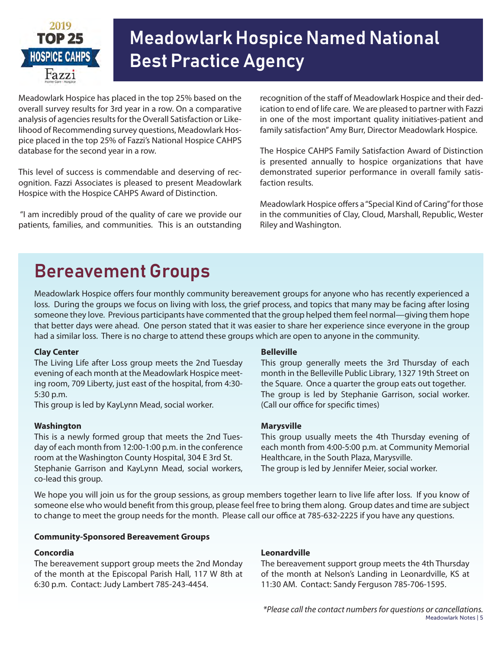

# Meadowlark Hospice Named National Best Practice Agency

Meadowlark Hospice has placed in the top 25% based on the overall survey results for 3rd year in a row. On a comparative analysis of agencies results for the Overall Satisfaction or Likelihood of Recommending survey questions, Meadowlark Hospice placed in the top 25% of Fazzi's National Hospice CAHPS database for the second year in a row.

This level of success is commendable and deserving of recognition. Fazzi Associates is pleased to present Meadowlark Hospice with the Hospice CAHPS Award of Distinction.

 "I am incredibly proud of the quality of care we provide our patients, families, and communities. This is an outstanding

recognition of the staff of Meadowlark Hospice and their dedication to end of life care. We are pleased to partner with Fazzi in one of the most important quality initiatives-patient and family satisfaction" Amy Burr, Director Meadowlark Hospice.

The Hospice CAHPS Family Satisfaction Award of Distinction is presented annually to hospice organizations that have demonstrated superior performance in overall family satisfaction results.

Meadowlark Hospice offers a "Special Kind of Caring" for those in the communities of Clay, Cloud, Marshall, Republic, Wester Riley and Washington.

## Bereavement Groups

Meadowlark Hospice offers four monthly community bereavement groups for anyone who has recently experienced a loss. During the groups we focus on living with loss, the grief process, and topics that many may be facing after losing someone they love. Previous participants have commented that the group helped them feel normal—giving them hope that better days were ahead. One person stated that it was easier to share her experience since everyone in the group had a similar loss. There is no charge to attend these groups which are open to anyone in the community.

#### **Clay Center**

The Living Life after Loss group meets the 2nd Tuesday evening of each month at the Meadowlark Hospice meeting room, 709 Liberty, just east of the hospital, from 4:30- 5:30 p.m.

This group is led by KayLynn Mead, social worker.

#### **Washington**

This is a newly formed group that meets the 2nd Tuesday of each month from 12:00-1:00 p.m. in the conference room at the Washington County Hospital, 304 E 3rd St. Stephanie Garrison and KayLynn Mead, social workers, co-lead this group.

#### **Belleville**

This group generally meets the 3rd Thursday of each month in the Belleville Public Library, 1327 19th Street on the Square. Once a quarter the group eats out together. The group is led by Stephanie Garrison, social worker. (Call our office for specific times)

#### **Marysville**

This group usually meets the 4th Thursday evening of each month from 4:00-5:00 p.m. at Community Memorial Healthcare, in the South Plaza, Marysville. The group is led by Jennifer Meier, social worker.

We hope you will join us for the group sessions, as group members together learn to live life after loss. If you know of someone else who would benefit from this group, please feel free to bring them along. Group dates and time are subject to change to meet the group needs for the month. Please call our office at 785-632-2225 if you have any questions.

#### **Community-Sponsored Bereavement Groups**

#### **Concordia**

The bereavement support group meets the 2nd Monday of the month at the Episcopal Parish Hall, 117 W 8th at 6:30 p.m. Contact: Judy Lambert 785-243-4454.

#### **Leonardville**

The bereavement support group meets the 4th Thursday of the month at Nelson's Landing in Leonardville, KS at 11:30 AM. Contact: Sandy Ferguson 785-706-1595.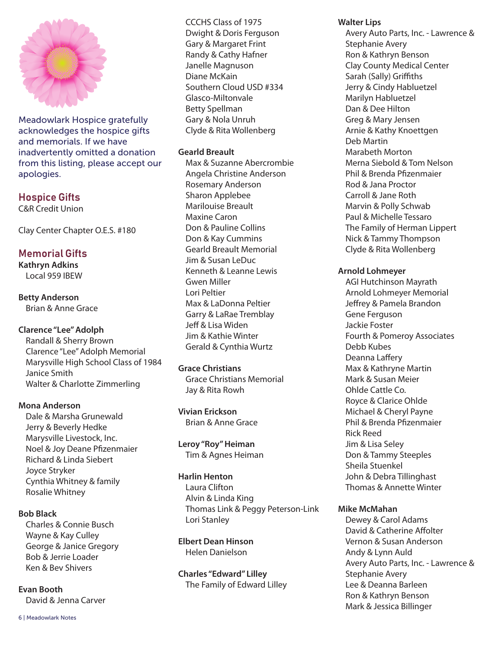

Meadowlark Hospice gratefully acknowledges the hospice gifts and memorials. If we have inadvertently omitted a donation from this listing, please accept our apologies.

#### Hospice Gifts

C&R Credit Union

Clay Center Chapter O.E.S. #180

#### Memorial Gifts

**Kathryn Adkins** Local 959 IBEW

**Betty Anderson** Brian & Anne Grace

#### **Clarence "Lee" Adolph**

Randall & Sherry Brown Clarence "Lee" Adolph Memorial Marysville High School Class of 1984 Janice Smith Walter & Charlotte Zimmerling

#### **Mona Anderson**

Dale & Marsha Grunewald Jerry & Beverly Hedke Marysville Livestock, Inc. Noel & Joy Deane Pfizenmaier Richard & Linda Siebert Joyce Stryker Cynthia Whitney & family Rosalie Whitney

#### **Bob Black**

Charles & Connie Busch Wayne & Kay Culley George & Janice Gregory Bob & Jerrie Loader Ken & Bev Shivers

**Evan Booth** David & Jenna Carver CCCHS Class of 1975 Dwight & Doris Ferguson Gary & Margaret Frint Randy & Cathy Hafner Janelle Magnuson Diane McKain Southern Cloud USD #334 Glasco-Miltonvale Betty Spellman Gary & Nola Unruh Clyde & Rita Wollenberg

#### **Gearld Breault**

Max & Suzanne Abercrombie Angela Christine Anderson Rosemary Anderson Sharon Applebee Marilouise Breault Maxine Caron Don & Pauline Collins Don & Kay Cummins Gearld Breault Memorial Jim & Susan LeDuc Kenneth & Leanne Lewis Gwen Miller Lori Peltier Max & LaDonna Peltier Garry & LaRae Tremblay Jeff & Lisa Widen Jim & Kathie Winter Gerald & Cynthia Wurtz

#### **Grace Christians**

Grace Christians Memorial Jay & Rita Rowh

**Vivian Erickson** Brian & Anne Grace

**Leroy "Roy" Heiman** Tim & Agnes Heiman

#### **Harlin Henton**

Laura Clifton Alvin & Linda King Thomas Link & Peggy Peterson-Link Lori Stanley

**Elbert Dean Hinson** Helen Danielson

**Charles "Edward" Lilley** The Family of Edward Lilley

#### **Walter Lips**

Avery Auto Parts, Inc. - Lawrence & Stephanie Avery Ron & Kathryn Benson Clay County Medical Center Sarah (Sally) Griffiths Jerry & Cindy Habluetzel Marilyn Habluetzel Dan & Dee Hilton Greg & Mary Jensen Arnie & Kathy Knoettgen Deb Martin Marabeth Morton Merna Siebold & Tom Nelson Phil & Brenda Pfizenmaier Rod & Jana Proctor Carroll & Jane Roth Marvin & Polly Schwab Paul & Michelle Tessaro The Family of Herman Lippert Nick & Tammy Thompson Clyde & Rita Wollenberg

#### **Arnold Lohmeyer**

AGI Hutchinson Mayrath Arnold Lohmeyer Memorial Jeffrey & Pamela Brandon Gene Ferguson Jackie Foster Fourth & Pomeroy Associates Debb Kubes Deanna Laffery Max & Kathryne Martin Mark & Susan Meier Ohlde Cattle Co. Royce & Clarice Ohlde Michael & Cheryl Payne Phil & Brenda Pfizenmaier Rick Reed Jim & Lisa Seley Don & Tammy Steeples Sheila Stuenkel John & Debra Tillinghast Thomas & Annette Winter

#### **Mike McMahan**

Dewey & Carol Adams David & Catherine Affolter Vernon & Susan Anderson Andy & Lynn Auld Avery Auto Parts, Inc. - Lawrence & Stephanie Avery Lee & Deanna Barleen Ron & Kathryn Benson Mark & Jessica Billinger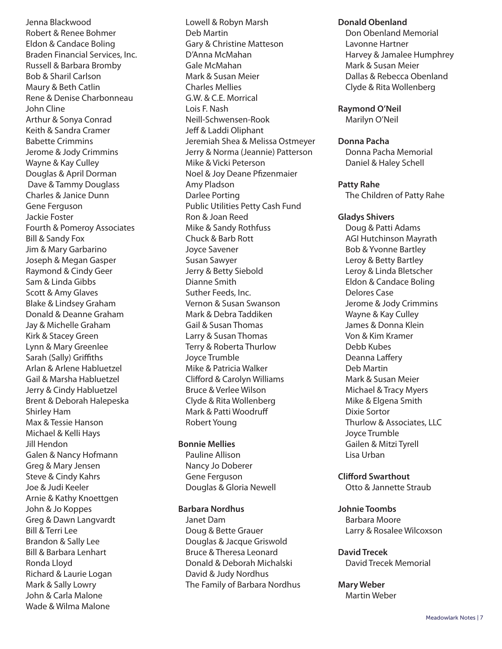Jenna Blackwood Robert & Renee Bohmer Eldon & Candace Boling Braden Financial Services, Inc. Russell & Barbara Bromby Bob & Sharil Carlson Maury & Beth Catlin Rene & Denise Charbonneau John Cline Arthur & Sonya Conrad Keith & Sandra Cramer Babette Crimmins Jerome & Jody Crimmins Wayne & Kay Culley Douglas & April Dorman Dave & Tammy Douglass Charles & Janice Dunn Gene Ferguson Jackie Foster Fourth & Pomeroy Associates Bill & Sandy Fox Jim & Mary Garbarino Joseph & Megan Gasper Raymond & Cindy Geer Sam & Linda Gibbs Scott & Amy Glaves Blake & Lindsey Graham Donald & Deanne Graham Jay & Michelle Graham Kirk & Stacey Green Lynn & Mary Greenlee Sarah (Sally) Griffiths Arlan & Arlene Habluetzel Gail & Marsha Habluetzel Jerry & Cindy Habluetzel Brent & Deborah Halepeska Shirley Ham Max & Tessie Hanson Michael & Kelli Hays Jill Hendon Galen & Nancy Hofmann Greg & Mary Jensen Steve & Cindy Kahrs Joe & Judi Keeler Arnie & Kathy Knoettgen John & Jo Koppes Greg & Dawn Langvardt Bill & Terri Lee Brandon & Sally Lee Bill & Barbara Lenhart Ronda Lloyd Richard & Laurie Logan Mark & Sally Lowry John & Carla Malone Wade & Wilma Malone

Lowell & Robyn Marsh Deb Martin Gary & Christine Matteson D'Anna McMahan Gale McMahan Mark & Susan Meier Charles Mellies G.W. & C.E. Morrical Lois F. Nash Neill-Schwensen-Rook Jeff & Laddi Oliphant Jeremiah Shea & Melissa Ostmeyer Jerry & Norma (Jeannie) Patterson Mike & Vicki Peterson Noel & Joy Deane Pfizenmaier Amy Pladson Darlee Porting Public Utilities Petty Cash Fund Ron & Joan Reed Mike & Sandy Rothfuss Chuck & Barb Rott Joyce Savener Susan Sawyer Jerry & Betty Siebold Dianne Smith Suther Feeds, Inc. Vernon & Susan Swanson Mark & Debra Taddiken Gail & Susan Thomas Larry & Susan Thomas Terry & Roberta Thurlow Joyce Trumble Mike & Patricia Walker Clifford & Carolyn Williams Bruce & Verlee Wilson Clyde & Rita Wollenberg Mark & Patti Woodruff Robert Young

#### **Bonnie Mellies**

Pauline Allison Nancy Jo Doberer Gene Ferguson Douglas & Gloria Newell

#### **Barbara Nordhus**

Janet Dam Doug & Bette Grauer Douglas & Jacque Griswold Bruce & Theresa Leonard Donald & Deborah Michalski David & Judy Nordhus The Family of Barbara Nordhus

#### **Donald Obenland**

Don Obenland Memorial Lavonne Hartner Harvey & Jamalee Humphrey Mark & Susan Meier Dallas & Rebecca Obenland Clyde & Rita Wollenberg

**Raymond O'Neil** Marilyn O'Neil

#### **Donna Pacha**

Donna Pacha Memorial Daniel & Haley Schell

#### **Patty Rahe**

The Children of Patty Rahe

#### **Gladys Shivers**

Doug & Patti Adams AGI Hutchinson Mayrath Bob & Yvonne Bartley Leroy & Betty Bartley Leroy & Linda Bletscher Eldon & Candace Boling Delores Case Jerome & Jody Crimmins Wayne & Kay Culley James & Donna Klein Von & Kim Kramer Debb Kubes Deanna Laffery Deb Martin Mark & Susan Meier Michael & Tracy Myers Mike & Elgena Smith Dixie Sortor Thurlow & Associates, LLC Joyce Trumble Gailen & Mitzi Tyrell Lisa Urban

#### **Clifford Swarthout**

Otto & Jannette Straub

#### **Johnie Toombs**

Barbara Moore Larry & Rosalee Wilcoxson

**David Trecek** David Trecek Memorial

#### **Mary Weber** Martin Weber